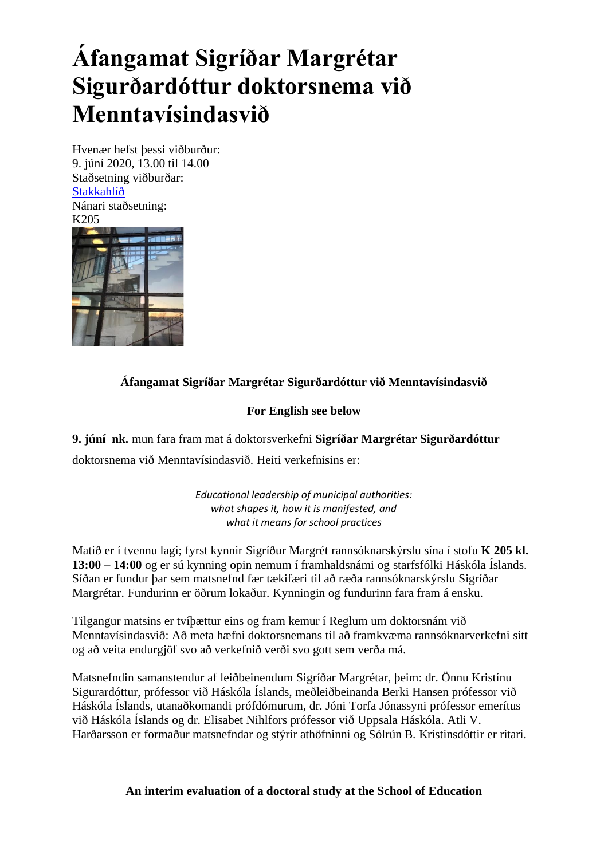## **Áfangamat Sigríðar Margrétar Sigurðardóttur doktorsnema við Menntavísindasvið**

Hvenær hefst þessi viðburður: 9. júní 2020, 13.00 til 14.00 Staðsetning viðburðar: [Stakkahlíð](http://wayback.vefsafn.is/wayback/20121017063259/http:/www.hi.is/stakkahlid) Nánari staðsetning:



## **Áfangamat Sigríðar Margrétar Sigurðardóttur við Menntavísindasvið**

## **For English see below**

**9. júní nk.** mun fara fram mat á doktorsverkefni **Sigríðar Margrétar Sigurðardóttur**  doktorsnema við Menntavísindasvið. Heiti verkefnisins er:

> *Educational leadership of municipal authorities: what shapes it, how it is manifested, and what it means for school practices*

Matið er í tvennu lagi; fyrst kynnir Sigríður Margrét rannsóknarskýrslu sína í stofu **K 205 kl. 13:00 – 14:00** og er sú kynning opin nemum í framhaldsnámi og starfsfólki Háskóla Íslands. Síðan er fundur þar sem matsnefnd fær tækifæri til að ræða rannsóknarskýrslu Sigríðar Margrétar. Fundurinn er öðrum lokaður. Kynningin og fundurinn fara fram á ensku.

Tilgangur matsins er tvíþættur eins og fram kemur í Reglum um doktorsnám við Menntavísindasvið: Að meta hæfni doktorsnemans til að framkvæma rannsóknarverkefni sitt og að veita endurgjöf svo að verkefnið verði svo gott sem verða má.

Matsnefndin samanstendur af leiðbeinendum Sigríðar Margrétar, þeim: dr. Önnu Kristínu Sigurardóttur, prófessor við Háskóla Íslands, meðleiðbeinanda Berki Hansen prófessor við Háskóla Íslands, utanaðkomandi prófdómurum, dr. Jóni Torfa Jónassyni prófessor emerítus við Háskóla Íslands og dr. Elisabet Nihlfors prófessor við Uppsala Háskóla. Atli V. Harðarsson er formaður matsnefndar og stýrir athöfninni og Sólrún B. Kristinsdóttir er ritari.

**An interim evaluation of a doctoral study at the School of Education**